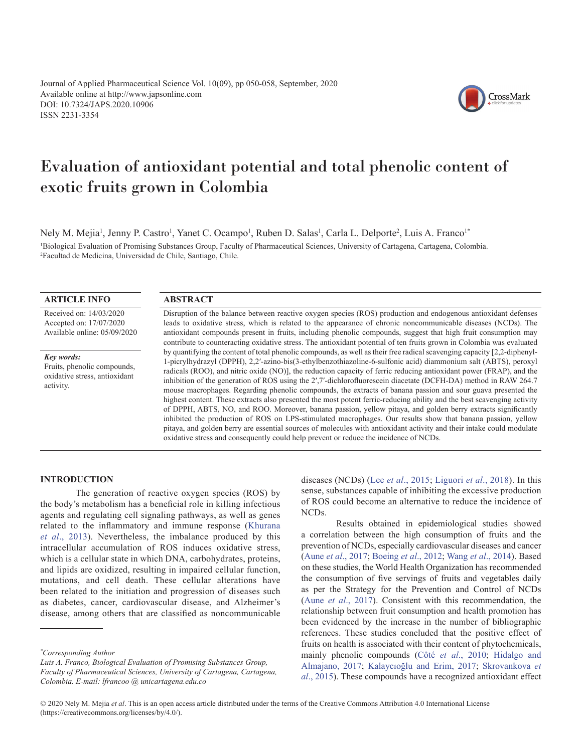Journal of Applied Pharmaceutical Science Vol. 10(09), pp 050-058, September, 2020 Available online at http://www.japsonline.com DOI: 10.7324/JAPS.2020.10906 ISSN 2231-3354



# Evaluation of antioxidant potential and total phenolic content of exotic fruits grown in Colombia

Nely M. Mejia<sup>1</sup>, Jenny P. Castro<sup>1</sup>, Yanet C. Ocampo<sup>1</sup>, Ruben D. Salas<sup>1</sup>, Carla L. Delporte<sup>2</sup>, Luis A. Franco<sup>1\*</sup> 1 Biological Evaluation of Promising Substances Group, Faculty of Pharmaceutical Sciences, University of Cartagena, Cartagena, Colombia. 2 Facultad de Medicina, Universidad de Chile, Santiago, Chile.

## **ARTICLE INFO**

Received on: 14/03/2020 Accepted on: 17/07/2020 Available online: 05/09/2020

*Key words:* Fruits, phenolic compounds, oxidative stress, antioxidant activity.

## **ABSTRACT**

Disruption of the balance between reactive oxygen species (ROS) production and endogenous antioxidant defenses leads to oxidative stress, which is related to the appearance of chronic noncommunicable diseases (NCDs). The antioxidant compounds present in fruits, including phenolic compounds, suggest that high fruit consumption may contribute to counteracting oxidative stress. The antioxidant potential of ten fruits grown in Colombia was evaluated by quantifying the content of total phenolic compounds, as well as their free radical scavenging capacity [2,2-diphenyl-1-picrylhydrazyl (DPPH), 2,2′-azino-bis(3-ethylbenzothiazoline-6-sulfonic acid) diammonium salt (ABTS), peroxyl radicals (ROO), and nitric oxide (NO)], the reduction capacity of ferric reducing antioxidant power (FRAP), and the inhibition of the generation of ROS using the 2′,7′-dichlorofluorescein diacetate (DCFH-DA) method in RAW 264.7 mouse macrophages. Regarding phenolic compounds, the extracts of banana passion and sour guava presented the highest content. These extracts also presented the most potent ferric-reducing ability and the best scavenging activity of DPPH, ABTS, NO, and ROO. Moreover, banana passion, yellow pitaya, and golden berry extracts significantly inhibited the production of ROS on LPS-stimulated macrophages. Our results show that banana passion, yellow pitaya, and golden berry are essential sources of molecules with antioxidant activity and their intake could modulate oxidative stress and consequently could help prevent or reduce the incidence of NCDs.

# **INTRODUCTION**

The generation of reactive oxygen species (ROS) by the body's metabolism has a beneficial role in killing infectious agents and regulating cell signaling pathways, as well as genes related to the inflammatory and immune response ([Khurana](#page-7-0) *et al*[., 2013](#page-7-0)). Nevertheless, the imbalance produced by this intracellular accumulation of ROS induces oxidative stress, which is a cellular state in which DNA, carbohydrates, proteins, and lipids are oxidized, resulting in impaired cellular function, mutations, and cell death. These cellular alterations have been related to the initiation and progression of diseases such as diabetes, cancer, cardiovascular disease, and Alzheimer's disease, among others that are classified as noncommunicable

*Luis A. Franco, Biological Evaluation of Promising Substances Group, Faculty of Pharmaceutical Sciences, University of Cartagena, Cartagena, Colombia. E-mail: lfrancoo @ unicartagena.edu.co*

diseases (NCDs) (Lee *et al*[., 2015](#page-7-0); [Liguori](#page-7-0) *et al*., 2018). In this sense, substances capable of inhibiting the excessive production of ROS could become an alternative to reduce the incidence of NCDs.

Results obtained in epidemiological studies showed a correlation between the high consumption of fruits and the prevention of NCDs, especially cardiovascular diseases and cancer (Aune *et al*[., 2017;](#page-6-0) [Boeing](#page-6-0) *et al*., 2012; Wang *et al*[., 2014](#page-7-0)). Based on these studies, the World Health Organization has recommended the consumption of five servings of fruits and vegetables daily as per the Strategy for the Prevention and Control of NCDs (Aune *et al*[., 2017](#page-6-0)). Consistent with this recommendation, the relationship between fruit consumption and health promotion has been evidenced by the increase in the number of bibliographic references. These studies concluded that the positive effect of fruits on health is associated with their content of phytochemicals, mainly phenolic compounds (Côté *et al*[., 2010;](#page-6-0) [Hidalgo and](#page-7-0)  [Almajano, 2017;](#page-7-0) [Kalaycıoğlu and Erim, 2017](#page-7-0); [Skrovankova](#page-7-0) *et al*[., 2015\)](#page-7-0). These compounds have a recognized antioxidant effect

*<sup>\*</sup> Corresponding Author*

<sup>© 2020</sup> Nely M. Mejia *et al*. This is an open access article distributed under the terms of the Creative Commons Attribution 4.0 International License (https://creativecommons.org/licenses/by/4.0/).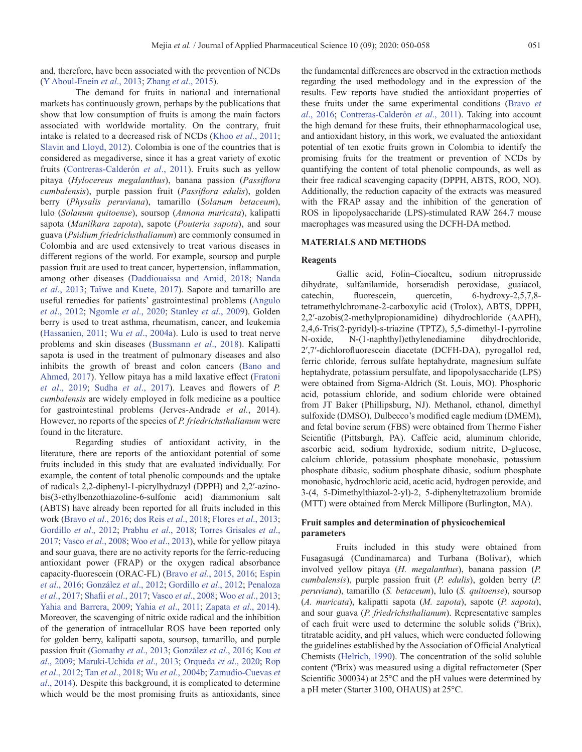and, therefore, have been associated with the prevention of NCDs ([Y Aboul-Enein](#page-7-0) *et al*., 2013; [Zhang](#page-8-0) *et al*., 2015).

The demand for fruits in national and international markets has continuously grown, perhaps by the publications that show that low consumption of fruits is among the main factors associated with worldwide mortality. On the contrary, fruit intake is related to a decreased risk of NCDs (Khoo *et al*[., 2011](#page-7-0); [Slavin and Lloyd, 2012\)](#page-7-0). Colombia is one of the countries that is considered as megadiverse, since it has a great variety of exotic fruits [\(Contreras-Calderón](#page-6-0) *et al*., 2011). Fruits such as yellow pitaya (*Hylocereus megalanthus*), banana passion (*Passiflora cumbalensis*), purple passion fruit (*Passiflora edulis*), golden berry (*Physalis peruviana*), tamarillo (*Solanum betaceum*), lulo (*Solanum quitoense*), soursop (*Annona muricata*), kalipatti sapota (*Manilkara zapota*), sapote (*Pouteria sapota*), and sour guava (*Psidium friedrichsthalianum*) are commonly consumed in Colombia and are used extensively to treat various diseases in different regions of the world. For example, soursop and purple passion fruit are used to treat cancer, hypertension, inflammation, among other diseases [\(Daddiouaissa and Amid, 2018](#page-6-0); [Nanda](#page-7-0)  *et al*[., 2013](#page-7-0); [Taïwe and Kuete, 2017\)](#page-7-0). Sapote and tamarillo are useful remedies for patients' gastrointestinal problems ([Angulo](#page-6-0) *et al*[., 2012;](#page-6-0) [Ngomle](#page-7-0) *et al*., 2020; [Stanley](#page-7-0) *et al*., 2009). Golden berry is used to treat asthma, rheumatism, cancer, and leukemia ([Hassanien, 2011](#page-7-0); Wu *et al*[., 2004a\)](#page-7-0). Lulo is used to treat nerve problems and skin diseases ([Bussmann](#page-6-0) *et al*., 2018). Kalipatti sapota is used in the treatment of pulmonary diseases and also inhibits the growth of breast and colon cancers ([Bano and](#page-6-0) [Ahmed, 2017\)](#page-6-0). Yellow pitaya has a mild laxative effect ([Fratoni](#page-6-0) *et al*[., 2019;](#page-6-0) Sudha *et al*[., 2017](#page-7-0)). Leaves and flowers of *P. cumbalensis* are widely employed in folk medicine as a poultice for gastrointestinal problems (Jerves-Andrade *et al.*, 2014). However, no reports of the species of *P. friedrichsthalianum* were found in the literature.

Regarding studies of antioxidant activity, in the literature, there are reports of the antioxidant potential of some fruits included in this study that are evaluated individually. For example, the content of total phenolic compounds and the uptake of radicals 2,2-diphenyl-1-picrylhydrazyl (DPPH) and 2,2′-azinobis(3-ethylbenzothiazoline-6-sulfonic acid) diammonium salt (ABTS) have already been reported for all fruits included in this work (Bravo *et al*[., 2016](#page-6-0); [dos Reis](#page-6-0) *et al*., 2018; Flores *et al*[., 2013](#page-6-0); [Gordillo](#page-6-0) *et al*., 2012; [Prabhu](#page-7-0) *et al*., 2018; [Torres Grisales](#page-7-0) *et al*., [2017;](#page-7-0) Vasco *et al*[., 2008](#page-7-0); Woo *et al*[., 2013\)](#page-7-0), while for yellow pitaya and sour guava, there are no activity reports for the ferric-reducing antioxidant power (FRAP) or the oxygen radical absorbance capacity-fluorescein (ORAC-FL) (Bravo *et al*., 2015, 2016; [Espin](#page-6-0) *et al*[., 2016](#page-6-0); [González](#page-6-0) *et al*., 2012; [Gordillo](#page-6-0) *et al*., 2012; [Penaloza](#page-7-0) *et al*[., 2017](#page-7-0); Shafii *et al*[., 2017](#page-7-0); Vasco *et al*[., 2008](#page-7-0); Woo *et al*[., 2013](#page-7-0); [Yahia and Barrera, 2009;](#page-8-0) Yahia *et al*[., 2011;](#page-8-0) [Zapata](#page-8-0) *et al*., 2014). Moreover, the scavenging of nitric oxide radical and the inhibition of the generation of intracellular ROS have been reported only for golden berry, kalipatti sapota, soursop, tamarillo, and purple passion fruit ([Gomathy](#page-6-0) *et al*., 2013; [González](#page-6-0) *et al*., 2016; [Kou](#page-7-0) *et al*[., 2009;](#page-7-0) [Maruki-Uchida](#page-7-0) *et al*., 2013; [Orqueda](#page-7-0) *et al*., 2020; [Rop](#page-7-0) *et al*[., 2012;](#page-7-0) Tan *et al*[., 2018](#page-7-0); Wu *et al*[., 2004b;](#page-7-0) [Zamudio-Cuevas](#page-8-0) *et al*[., 2014](#page-8-0)). Despite this background, it is complicated to determine which would be the most promising fruits as antioxidants, since

the fundamental differences are observed in the extraction methods regarding the used methodology and in the expression of the results. Few reports have studied the antioxidant properties of these fruits under the same experimental conditions ([Bravo](#page-6-0) *et al*[., 2016](#page-6-0); [Contreras-Calderón](#page-6-0) *et al*., 2011). Taking into account the high demand for these fruits, their ethnopharmacological use, and antioxidant history, in this work, we evaluated the antioxidant potential of ten exotic fruits grown in Colombia to identify the promising fruits for the treatment or prevention of NCDs by quantifying the content of total phenolic compounds, as well as their free radical scavenging capacity (DPPH, ABTS, ROO, NO). Additionally, the reduction capacity of the extracts was measured with the FRAP assay and the inhibition of the generation of ROS in lipopolysaccharide (LPS)-stimulated RAW 264.7 mouse macrophages was measured using the DCFH-DA method.

#### **MATERIALS AND METHODS**

#### **Reagents**

Gallic acid, Folin–Ciocalteu, sodium nitroprusside dihydrate, sulfanilamide, horseradish peroxidase, guaiacol, catechin, fluorescein, quercetin, 6-hydroxy-2,5,7,8 tetramethylchromane-2-carboxylic acid (Trolox), ABTS, DPPH, 2,2′-azobis(2-methylpropionamidine) dihydrochloride (AAPH), 2,4,6-Tris(2-pyridyl)-s-triazine (TPTZ), 5,5-dimethyl-1-pyrroline N-oxide, N-(1-naphthyl)ethylenediamine dihydrochloride, 2′,7′-dichlorofluorescein diacetate (DCFH-DA), pyrogallol red, ferric chloride, ferrous sulfate heptahydrate, magnesium sulfate heptahydrate, potassium persulfate, and lipopolysaccharide (LPS) were obtained from Sigma-Aldrich (St. Louis, MO). Phosphoric acid, potassium chloride, and sodium chloride were obtained from JT Baker (Phillipsburg, NJ). Methanol, ethanol, dimethyl sulfoxide (DMSO), Dulbecco's modified eagle medium (DMEM), and fetal bovine serum (FBS) were obtained from Thermo Fisher Scientific (Pittsburgh, PA). Caffeic acid, aluminum chloride, ascorbic acid, sodium hydroxide, sodium nitrite, D-glucose, calcium chloride, potassium phosphate monobasic, potassium phosphate dibasic, sodium phosphate dibasic, sodium phosphate monobasic, hydrochloric acid, acetic acid, hydrogen peroxide, and 3-(4, 5-Dimethylthiazol-2-yl)-2, 5-diphenyltetrazolium bromide (MTT) were obtained from Merck Millipore (Burlington, MA).

# **Fruit samples and determination of physicochemical parameters**

Fruits included in this study were obtained from Fusagasugá (Cundinamarca) and Turbana (Bolívar), which involved yellow pitaya (*H. megalanthus*), banana passion (*P. cumbalensis*), purple passion fruit (*P. edulis*), golden berry (*P. peruviana*), tamarillo (*S. betaceum*), lulo (*S. quitoense*), soursop (*A. muricata*), kalipatti sapota (*M. zapota*), sapote (*P. sapota*), and sour guava (*P. friedrichsthalianum*). Representative samples of each fruit were used to determine the soluble solids (ºBrix), titratable acidity, and pH values, which were conducted following the guidelines established by the Association of Official Analytical Chemists [\(Helrich, 1990](#page-7-0)). The concentration of the solid soluble content (ºBrix) was measured using a digital refractometer (Sper Scientific 300034) at 25°C and the pH values were determined by a pH meter (Starter 3100, OHAUS) at 25°C.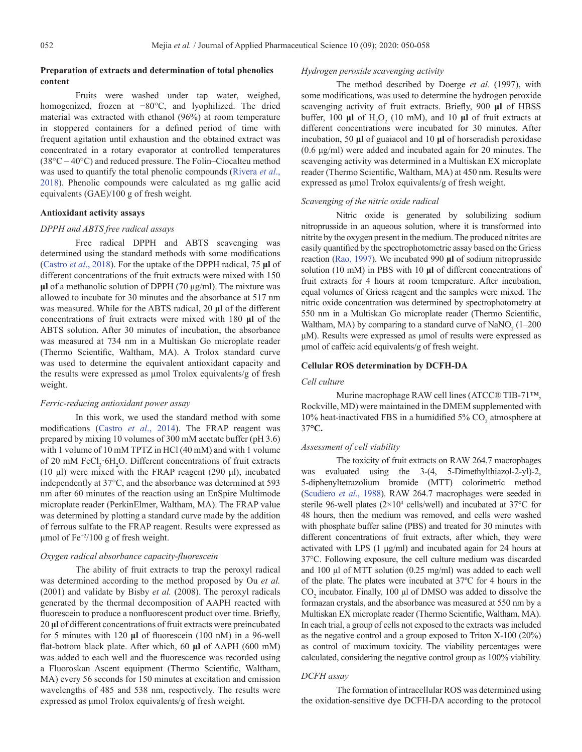# **Preparation of extracts and determination of total phenolics content**

Fruits were washed under tap water, weighed, homogenized, frozen at −80°C, and lyophilized. The dried material was extracted with ethanol (96%) at room temperature in stoppered containers for a defined period of time with frequent agitation until exhaustion and the obtained extract was concentrated in a rotary evaporator at controlled temperatures (38°C – 40°C) and reduced pressure. The Folin–Ciocalteu method was used to quantify the total phenolic compounds ([Rivera](#page-6-0) *et al*., [2018\)](#page-6-0). Phenolic compounds were calculated as mg gallic acid equivalents (GAE)/100 g of fresh weight.

## **Antioxidant activity assays**

## *DPPH and ABTS free radical assays*

Free radical DPPH and ABTS scavenging was determined using the standard methods with some modifications ([Castro](#page-6-0) *et al*., 2018). For the uptake of the DPPH radical, 75 **μl** of different concentrations of the fruit extracts were mixed with 150 **μl** of a methanolic solution of DPPH (70 μg/ml). The mixture was allowed to incubate for 30 minutes and the absorbance at 517 nm was measured. While for the ABTS radical, 20 **μl** of the different concentrations of fruit extracts were mixed with 180 **μl** of the ABTS solution. After 30 minutes of incubation, the absorbance was measured at 734 nm in a Multiskan Go microplate reader (Thermo Scientific, Waltham, MA). A Trolox standard curve was used to determine the equivalent antioxidant capacity and the results were expressed as µmol Trolox equivalents/g of fresh weight.

## *Ferric-reducing antioxidant power assay*

In this work, we used the standard method with some modifications (Castro *et al*[., 2014\)](#page-6-0). The FRAP reagent was prepared by mixing 10 volumes of 300 mM acetate buffer (pH 3.6) with 1 volume of 10 mM TPTZ in HCl (40 mM) and with 1 volume of 20 mM FeCl<sub>3</sub> 6H<sub>2</sub>O. Different concentrations of fruit extracts (10 μl) were mixed with the FRAP reagent (290 μl), incubated independently at 37°C, and the absorbance was determined at 593 nm after 60 minutes of the reaction using an EnSpire Multimode microplate reader (PerkinElmer, Waltham, MA). The FRAP value was determined by plotting a standard curve made by the addition of ferrous sulfate to the FRAP reagent. Results were expressed as μmol of  $Fe<sup>+2</sup>/100$  g of fresh weight.

## *Oxygen radical absorbance capacity-fluorescein*

The ability of fruit extracts to trap the peroxyl radical was determined according to the method proposed by Ou *et al.* (2001) and validate by Bisby *et al.* (2008). The peroxyl radicals generated by the thermal decomposition of AAPH reacted with fluorescein to produce a nonfluorescent product over time. Briefly, 20 **μl** of different concentrations of fruit extracts were preincubated for 5 minutes with 120 **μl** of fluorescein (100 nM) in a 96-well flat-bottom black plate. After which, 60 **μl** of AAPH (600 mM) was added to each well and the fluorescence was recorded using a Fluoroskan Ascent equipment (Thermo Scientific, Waltham, MA) every 56 seconds for 150 minutes at excitation and emission wavelengths of 485 and 538 nm, respectively. The results were expressed as μmol Trolox equivalents/g of fresh weight.

## *Hydrogen peroxide scavenging activity*

The method described by Doerge *et al.* (1997), with some modifications, was used to determine the hydrogen peroxide scavenging activity of fruit extracts. Briefly, 900 **μl** of HBSS buffer, 100  $\mu$ l of H<sub>2</sub>O<sub>2</sub> (10 mM), and 10  $\mu$ l of fruit extracts at different concentrations were incubated for 30 minutes. After incubation, 50 **μl** of guaiacol and 10 **μl** of horseradish peroxidase (0.6 μg/ml) were added and incubated again for 20 minutes. The scavenging activity was determined in a Multiskan EX microplate reader (Thermo Scientific, Waltham, MA) at 450 nm. Results were expressed as μmol Trolox equivalents/g of fresh weight.

#### *Scavenging of the nitric oxide radical*

Nitric oxide is generated by solubilizing sodium nitroprusside in an aqueous solution, where it is transformed into nitrite by the oxygen present in the medium. The produced nitrites are easily quantified by the spectrophotometric assay based on the Griess reaction ([Rao, 1997](#page-7-0)). We incubated 990 **μl** of sodium nitroprusside solution (10 mM) in PBS with 10 **μl** of different concentrations of fruit extracts for 4 hours at room temperature. After incubation, equal volumes of Griess reagent and the samples were mixed. The nitric oxide concentration was determined by spectrophotometry at 550 nm in a Multiskan Go microplate reader (Thermo Scientific, Waltham, MA) by comparing to a standard curve of  $\text{NaNO}_2$  (1–200 μM). Results were expressed as μmol of results were expressed as μmol of caffeic acid equivalents/g of fresh weight.

## **Cellular ROS determination by DCFH-DA**

#### *Cell culture*

Murine macrophage RAW cell lines (ATCC® TIB-71™, Rockville, MD) were maintained in the DMEM supplemented with 10% heat-inactivated FBS in a humidified  $5\%$  CO<sub>2</sub> atmosphere at 37**°C.**

#### *Assessment of cell viability*

The toxicity of fruit extracts on RAW 264.7 macrophages was evaluated using the 3-(4, 5-Dimethylthiazol-2-yl)-2, 5-diphenyltetrazolium bromide (MTT) colorimetric method [\(Scudiero](#page-7-0) *et al*., 1988). RAW 264.7 macrophages were seeded in sterile 96-well plates  $(2\times10^4 \text{ cells/well})$  and incubated at 37 $\degree$ C for 48 hours, then the medium was removed, and cells were washed with phosphate buffer saline (PBS) and treated for 30 minutes with different concentrations of fruit extracts, after which, they were activated with LPS (1 μg/ml) and incubated again for 24 hours at 37°C. Following exposure, the cell culture medium was discarded and 100 μl of MTT solution (0.25 mg/ml) was added to each well of the plate. The plates were incubated at 37ºC for 4 hours in the  $CO<sub>2</sub>$  incubator. Finally, 100  $\mu$ l of DMSO was added to dissolve the formazan crystals, and the absorbance was measured at 550 nm by a Multiskan EX microplate reader (Thermo Scientific, Waltham, MA). In each trial, a group of cells not exposed to the extracts was included as the negative control and a group exposed to Triton X-100 (20%) as control of maximum toxicity. The viability percentages were calculated, considering the negative control group as 100% viability.

#### *DCFH assay*

The formation of intracellular ROS was determined using the oxidation-sensitive dye DCFH-DA according to the protocol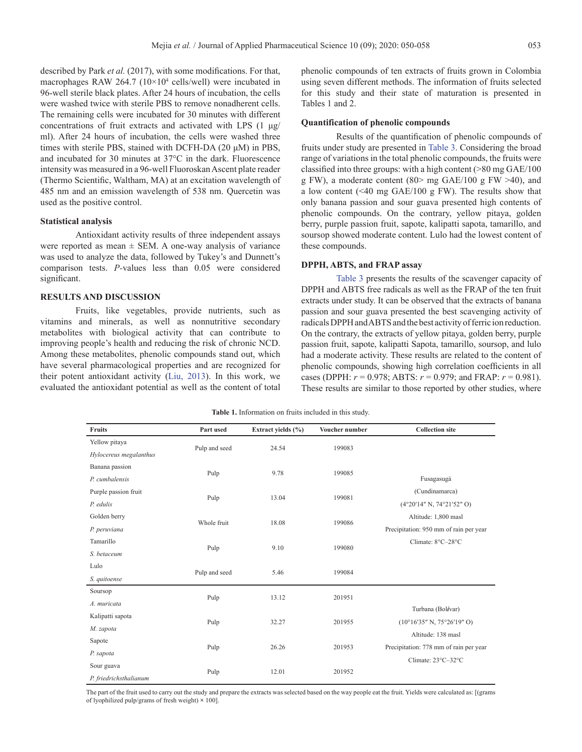The remaining cells were incubated for 30 minutes with different concentrations of fruit extracts and activated with LPS (1 μg/ ml). After 24 hours of incubation, the cells were washed three times with sterile PBS, stained with DCFH-DA (20 μM) in PBS, and incubated for 30 minutes at 37°C in the dark. Fluorescence intensity was measured in a 96-well Fluoroskan Ascent plate reader (Thermo Scientific, Waltham, MA) at an excitation wavelength of 485 nm and an emission wavelength of 538 nm. Quercetin was used as the positive control.

## **Statistical analysis**

Antioxidant activity results of three independent assays were reported as mean  $\pm$  SEM. A one-way analysis of variance was used to analyze the data, followed by Tukey's and Dunnett's comparison tests. *P-*values less than 0.05 were considered significant.

## **RESULTS AND DISCUSSION**

Fruits, like vegetables, provide nutrients, such as vitamins and minerals, as well as nonnutritive secondary metabolites with biological activity that can contribute to improving people's health and reducing the risk of chronic NCD. Among these metabolites, phenolic compounds stand out, which have several pharmacological properties and are recognized for their potent antioxidant activity [\(Liu, 2013](#page-7-0)). In this work, we evaluated the antioxidant potential as well as the content of total phenolic compounds of ten extracts of fruits grown in Colombia using seven different methods. The information of fruits selected for this study and their state of maturation is presented in Tables 1 and 2.

## **Quantification of phenolic compounds**

Results of the quantification of phenolic compounds of fruits under study are presented in [Table 3](#page-4-0). Considering the broad range of variations in the total phenolic compounds, the fruits were classified into three groups: with a high content (>80 mg GAE/100 g FW), a moderate content  $(80>$  mg GAE/100 g FW  $>40$ ), and a low content (<40 mg GAE/100 g FW). The results show that only banana passion and sour guava presented high contents of phenolic compounds. On the contrary, yellow pitaya, golden berry, purple passion fruit, sapote, kalipatti sapota, tamarillo, and soursop showed moderate content. Lulo had the lowest content of these compounds.

# **DPPH, ABTS, and FRAP assay**

[Table 3](#page-4-0) presents the results of the scavenger capacity of DPPH and ABTS free radicals as well as the FRAP of the ten fruit extracts under study. It can be observed that the extracts of banana passion and sour guava presented the best scavenging activity of radicals DPPH and ABTS and the best activity of ferric ion reduction. On the contrary, the extracts of yellow pitaya, golden berry, purple passion fruit, sapote, kalipatti Sapota, tamarillo, soursop, and lulo had a moderate activity. These results are related to the content of phenolic compounds, showing high correlation coefficients in all cases (DPPH:  $r = 0.978$ ; ABTS:  $r = 0.979$ ; and FRAP:  $r = 0.981$ ). These results are similar to those reported by other studies, where

|  |  | <b>Table 1.</b> Information on fruits included in this study. |  |  |  |  |  |  |  |  |  |
|--|--|---------------------------------------------------------------|--|--|--|--|--|--|--|--|--|
|--|--|---------------------------------------------------------------|--|--|--|--|--|--|--|--|--|

| <b>Fruits</b>          | Part used     | Extract yields (%) | Voucher number | <b>Collection site</b>                         |
|------------------------|---------------|--------------------|----------------|------------------------------------------------|
| Yellow pitaya          |               | 24.54              | 199083         |                                                |
| Hylocereus megalanthus | Pulp and seed |                    |                |                                                |
| Banana passion         |               |                    |                |                                                |
| P. cumbalensis         | Pulp          | 9.78               | 199085         | Fusagasugá                                     |
| Purple passion fruit   |               |                    |                | (Cundinamarca)                                 |
| P. edulis              | Pulp          | 13.04              | 199081         | (4°20'14" N, 74°21'52" O)                      |
| Golden berry           |               |                    |                | Altitude: 1,800 masl                           |
| P. peruviana           | Whole fruit   | 18.08              | 199086         | Precipitation: 950 mm of rain per year         |
| Tamarillo              |               |                    |                | Climate: 8°C-28°C                              |
| S. betaceum            | Pulp          | 9.10               | 199080         |                                                |
| Lulo                   |               |                    |                |                                                |
| S. quitoense           | Pulp and seed | 5.46               | 199084         |                                                |
| Soursop                |               |                    |                |                                                |
| A. muricata            | Pulp          | 13.12              | 201951         |                                                |
| Kalipatti sapota       |               |                    |                | Turbana (Bolívar)                              |
| M. zapota              | Pulp          | 32.27              | 201955         | $(10^{\circ}16'35''$ N, $75^{\circ}26'19''$ O) |
| Sapote                 |               |                    |                | Altitude: 138 masl                             |
| P. sapota              | Pulp          | 26.26              | 201953         | Precipitation: 778 mm of rain per year         |
| Sour guava             |               |                    |                | Climate: 23°C-32°C                             |
| P. friedrichsthalianum | Pulp          | 12.01              | 201952         |                                                |

The part of the fruit used to carry out the study and prepare the extracts was selected based on the way people eat the fruit. Yields were calculated as: [(grams of lyophilized pulp/grams of fresh weight) **×** 100].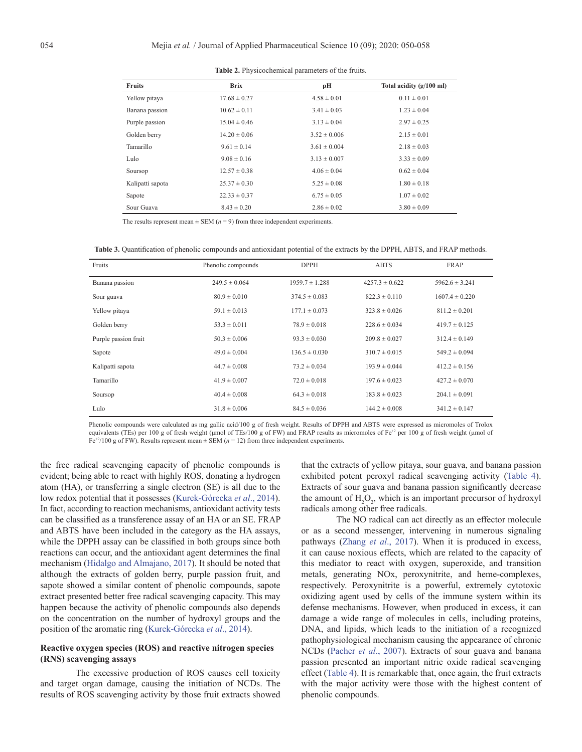<span id="page-4-0"></span>

| <b>Fruits</b>    | <b>Brix</b>      | pН               | Total acidity (g/100 ml) |
|------------------|------------------|------------------|--------------------------|
| Yellow pitaya    | $17.68 \pm 0.27$ | $4.58 \pm 0.01$  | $0.11 \pm 0.01$          |
| Banana passion   | $10.62 \pm 0.11$ | $3.41 \pm 0.03$  | $1.23 \pm 0.04$          |
| Purple passion   | $15.04 \pm 0.46$ | $3.13 \pm 0.04$  | $2.97 \pm 0.25$          |
| Golden berry     | $14.20 \pm 0.06$ | $3.52 \pm 0.006$ | $2.15 \pm 0.01$          |
| Tamarillo        | $9.61 \pm 0.14$  | $3.61 \pm 0.004$ | $2.18 \pm 0.03$          |
| Lulo             | $9.08 \pm 0.16$  | $3.13 \pm 0.007$ | $3.33 \pm 0.09$          |
| Soursop          | $12.57 \pm 0.38$ | $4.06 \pm 0.04$  | $0.62 \pm 0.04$          |
| Kalipatti sapota | $25.37 \pm 0.30$ | $5.25 \pm 0.08$  | $1.80 \pm 0.18$          |
| Sapote           | $22.33 \pm 0.37$ | $6.75 \pm 0.05$  | $1.07 \pm 0.02$          |
| Sour Guava       | $8.43 \pm 0.20$  | $2.86 \pm 0.02$  | $3.80 \pm 0.09$          |

**Table 2.** Physicochemical parameters of the fruits.

The results represent mean  $\pm$  SEM ( $n = 9$ ) from three independent experiments.

**Table 3.** Quantification of phenolic compounds and antioxidant potential of the extracts by the DPPH, ABTS, and FRAP methods.

| Fruits               | Phenolic compounds | <b>DPPH</b>        | <b>ABTS</b>        | <b>FRAP</b>        |
|----------------------|--------------------|--------------------|--------------------|--------------------|
| Banana passion       | $249.5 \pm 0.064$  | $1959.7 \pm 1.288$ | $4257.3 \pm 0.622$ | $5962.6 \pm 3.241$ |
| Sour guava           | $80.9 \pm 0.010$   | $374.5 \pm 0.083$  | $822.3 \pm 0.110$  | $1607.4 \pm 0.220$ |
| Yellow pitaya        | $59.1 \pm 0.013$   | $177.1 \pm 0.073$  | $323.8 \pm 0.026$  | $811.2 \pm 0.201$  |
| Golden berry         | $53.3 \pm 0.011$   | $78.9 \pm 0.018$   | $228.6 \pm 0.034$  | $419.7 \pm 0.125$  |
| Purple passion fruit | $50.3 \pm 0.006$   | $93.3 \pm 0.030$   | $209.8 \pm 0.027$  | $312.4 \pm 0.149$  |
| Sapote               | $49.0 \pm 0.004$   | $136.5 \pm 0.030$  | $310.7 \pm 0.015$  | $549.2 \pm 0.094$  |
| Kalipatti sapota     | $44.7 \pm 0.008$   | $73.2 \pm 0.034$   | $193.9 \pm 0.044$  | $412.2 \pm 0.156$  |
| Tamarillo            | $41.9 \pm 0.007$   | $72.0 \pm 0.018$   | $197.6 \pm 0.023$  | $427.2 \pm 0.070$  |
| Soursop              | $40.4 \pm 0.008$   | $64.3 \pm 0.018$   | $183.8 \pm 0.023$  | $204.1 \pm 0.091$  |
| Lulo                 | $31.8 \pm 0.006$   | $84.5 \pm 0.036$   | $144.2 \pm 0.008$  | $341.2 \pm 0.147$  |

Phenolic compounds were calculated as mg gallic acid/100 g of fresh weight. Results of DPPH and ABTS were expressed as micromoles of Trolox equivalents (TEs) per 100 g of fresh weight (μmol of TEs/100 g of FW) and FRAP results as micromoles of Fe<sup>+2</sup> per 100 g of fresh weight (μmol of Fe<sup>+2</sup>/100 g of FW). Results represent mean  $\pm$  SEM ( $n = 12$ ) from three independent experiments.

the free radical scavenging capacity of phenolic compounds is evident; being able to react with highly ROS, donating a hydrogen atom (HA), or transferring a single electron (SE) is all due to the low redox potential that it possesses [\(Kurek-Górecka](#page-7-0) *et al*., 2014). In fact, according to reaction mechanisms, antioxidant activity tests can be classified as a transference assay of an HA or an SE. FRAP and ABTS have been included in the category as the HA assays, while the DPPH assay can be classified in both groups since both reactions can occur, and the antioxidant agent determines the final mechanism [\(Hidalgo and Almajano, 2017\)](#page-7-0). It should be noted that although the extracts of golden berry, purple passion fruit, and sapote showed a similar content of phenolic compounds, sapote extract presented better free radical scavenging capacity. This may happen because the activity of phenolic compounds also depends on the concentration on the number of hydroxyl groups and the position of the aromatic ring ([Kurek-Górecka](#page-7-0) *et al*., 2014).

# **Reactive oxygen species (ROS) and reactive nitrogen species (RNS) scavenging assays**

The excessive production of ROS causes cell toxicity and target organ damage, causing the initiation of NCDs. The results of ROS scavenging activity by those fruit extracts showed

that the extracts of yellow pitaya, sour guava, and banana passion exhibited potent peroxyl radical scavenging activity ([Table 4\)](#page-5-0). Extracts of sour guava and banana passion significantly decrease the amount of  $H_2O_2$ , which is an important precursor of hydroxyl radicals among other free radicals.

The NO radical can act directly as an effector molecule or as a second messenger, intervening in numerous signaling pathways (Zhang *et al*[., 2017](#page-8-0)). When it is produced in excess, it can cause noxious effects, which are related to the capacity of this mediator to react with oxygen, superoxide, and transition metals, generating NOx, peroxynitrite, and heme-complexes, respectively. Peroxynitrite is a powerful, extremely cytotoxic oxidizing agent used by cells of the immune system within its defense mechanisms. However, when produced in excess, it can damage a wide range of molecules in cells, including proteins, DNA, and lipids, which leads to the initiation of a recognized pathophysiological mechanism causing the appearance of chronic NCDs ([Pacher](#page-7-0) *et al*., 2007). Extracts of sour guava and banana passion presented an important nitric oxide radical scavenging effect [\(Table 4](#page-5-0)). It is remarkable that, once again, the fruit extracts with the major activity were those with the highest content of phenolic compounds.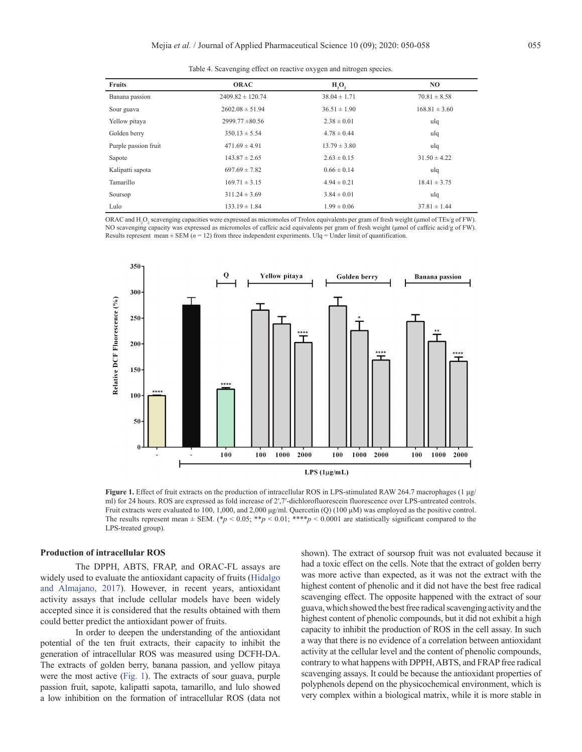|  |  |  |  | Table 4. Scavenging effect on reactive oxygen and nitrogen species |  |
|--|--|--|--|--------------------------------------------------------------------|--|
|  |  |  |  |                                                                    |  |
|  |  |  |  |                                                                    |  |

<span id="page-5-0"></span>

| <b>Fruits</b>        | <b>ORAC</b>          | H, O,            | NO.               |
|----------------------|----------------------|------------------|-------------------|
| Banana passion       | $2409.82 \pm 120.74$ | $38.04 \pm 1.71$ | $70.81 \pm 8.58$  |
| Sour guava           | $2602.08 \pm 51.94$  | $36.51 \pm 1.90$ | $168.81 \pm 3.60$ |
| Yellow pitaya        | $2999.77 \pm 80.56$  | $2.38 \pm 0.01$  | ulq               |
| Golden berry         | $350.13 \pm 5.54$    | $4.78 \pm 0.44$  | ulq               |
| Purple passion fruit | $471.69 \pm 4.91$    | $13.79 \pm 3.80$ | ulq               |
| Sapote               | $143.87 \pm 2.65$    | $2.63 \pm 0.15$  | $31.50 \pm 4.22$  |
| Kalipatti sapota     | $697.69 \pm 7.82$    | $0.66 \pm 0.14$  | ulq               |
| <b>Tamarillo</b>     | $169.71 \pm 3.15$    | $4.94 \pm 0.21$  | $18.41 \pm 3.75$  |
| Soursop              | $311.24 \pm 3.69$    | $3.84 \pm 0.01$  | ulq               |
| Lulo                 | $133.19 \pm 1.84$    | $1.99 \pm 0.06$  | $37.81 \pm 1.44$  |

ORAC and  $H_2O_2$  scavenging capacities were expressed as micromoles of Trolox equivalents per gram of fresh weight (µmol of TEs/g of FW). NO scavenging capacity was expressed as micromoles of caffeic acid equivalents per gram of fresh weight (μmol of caffeic acid/g of FW). Results represent mean  $\pm$  SEM ( $n = 12$ ) from three independent experiments. Ulq = Under limit of quantification.



**Figure 1.** Effect of fruit extracts on the production of intracellular ROS in LPS-stimulated RAW 264.7 macrophages (1 μg/ ml) for 24 hours. ROS are expressed as fold increase of 2',7'-dichlorofluorescein fluorescence over LPS-untreated controls. Fruit extracts were evaluated to 100, 1,000, and 2,000 μg/ml. Quercetin (Q) (100 μM) was employed as the positive control. The results represent mean  $\pm$  SEM. (\**p* < 0.05; \*\**p* < 0.01; \*\*\*\**p* < 0.0001 are statistically significant compared to the LPS-treated group).

#### **Production of intracellular ROS**

The DPPH, ABTS, FRAP, and ORAC-FL assays are widely used to evaluate the antioxidant capacity of fruits [\(Hidalgo](#page-7-0) [and Almajano, 2017\)](#page-7-0). However, in recent years, antioxidant activity assays that include cellular models have been widely accepted since it is considered that the results obtained with them could better predict the antioxidant power of fruits.

In order to deepen the understanding of the antioxidant potential of the ten fruit extracts, their capacity to inhibit the generation of intracellular ROS was measured using DCFH-DA. The extracts of golden berry, banana passion, and yellow pitaya were the most active (Fig. 1). The extracts of sour guava, purple passion fruit, sapote, kalipatti sapota, tamarillo, and lulo showed a low inhibition on the formation of intracellular ROS (data not

shown). The extract of soursop fruit was not evaluated because it had a toxic effect on the cells. Note that the extract of golden berry was more active than expected, as it was not the extract with the highest content of phenolic and it did not have the best free radical scavenging effect. The opposite happened with the extract of sour guava, which showed the best free radical scavenging activity and the highest content of phenolic compounds, but it did not exhibit a high capacity to inhibit the production of ROS in the cell assay. In such a way that there is no evidence of a correlation between antioxidant activity at the cellular level and the content of phenolic compounds, contrary to what happens with DPPH, ABTS, and FRAP free radical scavenging assays. It could be because the antioxidant properties of polyphenols depend on the physicochemical environment, which is very complex within a biological matrix, while it is more stable in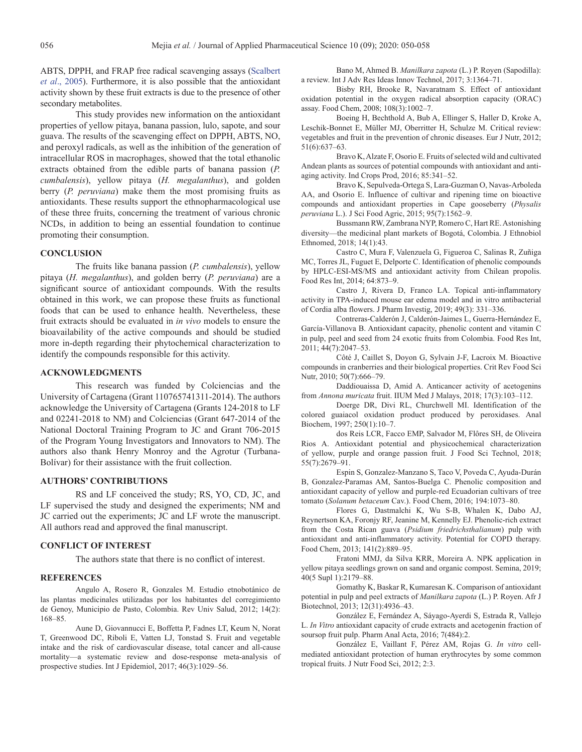<span id="page-6-0"></span>ABTS, DPPH, and FRAP free radical scavenging assays [\(Scalbert](#page-7-0) *et al*[., 2005](#page-7-0)). Furthermore, it is also possible that the antioxidant activity shown by these fruit extracts is due to the presence of other secondary metabolites.

This study provides new information on the antioxidant properties of yellow pitaya, banana passion, lulo, sapote, and sour guava. The results of the scavenging effect on DPPH, ABTS, NO, and peroxyl radicals, as well as the inhibition of the generation of intracellular ROS in macrophages, showed that the total ethanolic extracts obtained from the edible parts of banana passion (*P. cumbalensis*), yellow pitaya (*H. megalanthus*), and golden berry (*P. peruviana*) make them the most promising fruits as antioxidants. These results support the ethnopharmacological use of these three fruits, concerning the treatment of various chronic NCDs, in addition to being an essential foundation to continue promoting their consumption.

## **CONCLUSION**

The fruits like banana passion (*P. cumbalensis*), yellow pitaya (*H. megalanthus*), and golden berry (*P. peruviana*) are a significant source of antioxidant compounds. With the results obtained in this work, we can propose these fruits as functional foods that can be used to enhance health. Nevertheless, these fruit extracts should be evaluated in *in vivo* models to ensure the bioavailability of the active compounds and should be studied more in-depth regarding their phytochemical characterization to identify the compounds responsible for this activity.

## **ACKNOWLEDGMENTS**

This research was funded by Colciencias and the University of Cartagena (Grant 110765741311-2014). The authors acknowledge the University of Cartagena (Grants 124-2018 to LF and 02241-2018 to NM) and Colciencias (Grant 647-2014 of the National Doctoral Training Program to JC and Grant 706-2015 of the Program Young Investigators and Innovators to NM). The authors also thank Henry Monroy and the Agrotur (Turbana-Bolívar) for their assistance with the fruit collection.

## **AUTHORS' CONTRIBUTIONS**

RS and LF conceived the study; RS, YO, CD, JC, and LF supervised the study and designed the experiments; NM and JC carried out the experiments; JC and LF wrote the manuscript. All authors read and approved the final manuscript.

## **CONFLICT OF INTEREST**

The authors state that there is no conflict of interest.

#### **REFERENCES**

Angulo A, Rosero R, Gonzales M. Estudio etnobotánico de las plantas medicinales utilizadas por los habitantes del corregimiento de Genoy, Municipio de Pasto, Colombia. Rev Univ Salud, 2012; 14(2): 168–85.

Aune D, Giovannucci E, Boffetta P, Fadnes LT, Keum N, Norat T, Greenwood DC, Riboli E, Vatten LJ, Tonstad S. Fruit and vegetable intake and the risk of cardiovascular disease, total cancer and all-cause mortality—a systematic review and dose-response meta-analysis of prospective studies. Int J Epidemiol, 2017; 46(3):1029–56.

Bano M, Ahmed B. *Manilkara zapota* (L.) P. Royen (Sapodilla): a review. Int J Adv Res Ideas Innov Technol, 2017; 3:1364–71.

Bisby RH, Brooke R, Navaratnam S. Effect of antioxidant oxidation potential in the oxygen radical absorption capacity (ORAC) assay. Food Chem, 2008; 108(3):1002–7.

Boeing H, Bechthold A, Bub A, Ellinger S, Haller D, Kroke A, Leschik-Bonnet E, Müller MJ, Oberritter H, Schulze M. Critical review: vegetables and fruit in the prevention of chronic diseases. Eur J Nutr, 2012; 51(6):637–63.

Bravo K, Alzate F, Osorio E. Fruits of selected wild and cultivated Andean plants as sources of potential compounds with antioxidant and antiaging activity. Ind Crops Prod, 2016; 85:341–52.

Bravo K, Sepulveda-Ortega S, Lara-Guzman O, Navas-Arboleda AA, and Osorio E. Influence of cultivar and ripening time on bioactive compounds and antioxidant properties in Cape gooseberry (*Physalis peruviana* L.). J Sci Food Agric, 2015; 95(7):1562–9.

Bussmann RW, Zambrana NYP, Romero C, Hart RE. Astonishing diversity—the medicinal plant markets of Bogotá, Colombia. J Ethnobiol Ethnomed, 2018; 14(1):43.

Castro C, Mura F, Valenzuela G, Figueroa C, Salinas R, Zuñiga MC, Torres JL, Fuguet E, Delporte C. Identification of phenolic compounds by HPLC-ESI-MS/MS and antioxidant activity from Chilean propolis. Food Res Int, 2014; 64:873–9.

Castro J, Rivera D, Franco LA. Topical anti-inflammatory activity in TPA-induced mouse ear edema model and in vitro antibacterial of Cordia alba flowers. J Pharm Investig, 2019; 49(3): 331–336.

Contreras-Calderón J, Calderón-Jaimes L, Guerra-Hernández E, García-Villanova B. Antioxidant capacity, phenolic content and vitamin C in pulp, peel and seed from 24 exotic fruits from Colombia. Food Res Int, 2011; 44(7):2047–53.

Côté J, Caillet S, Doyon G, Sylvain J-F, Lacroix M. Bioactive compounds in cranberries and their biological properties. Crit Rev Food Sci Nutr, 2010; 50(7):666–79.

Daddiouaissa D, Amid A. Anticancer activity of acetogenins from *Annona muricata* fruit. IIUM Med J Malays, 2018; 17(3):103–112.

Doerge DR, Divi RL, Churchwell MI. Identification of the colored guaiacol oxidation product produced by peroxidases. Anal Biochem, 1997; 250(1):10–7.

dos Reis LCR, Facco EMP, Salvador M, Flôres SH, de Oliveira Rios A. Antioxidant potential and physicochemical characterization of yellow, purple and orange passion fruit. J Food Sci Technol, 2018; 55(7):2679–91.

Espin S, Gonzalez-Manzano S, Taco V, Poveda C, Ayuda-Durán B, Gonzalez-Paramas AM, Santos-Buelga C. Phenolic composition and antioxidant capacity of yellow and purple-red Ecuadorian cultivars of tree tomato (*Solanum betaceum* Cav.). Food Chem, 2016; 194:1073–80.

Flores G, Dastmalchi K, Wu S-B, Whalen K, Dabo AJ, Reynertson KA, Foronjy RF, Jeanine M, Kennelly EJ. Phenolic-rich extract from the Costa Rican guava (*Psidium friedrichsthalianum*) pulp with antioxidant and anti-inflammatory activity. Potential for COPD therapy. Food Chem, 2013; 141(2):889–95.

Fratoni MMJ, da Silva KRR, Moreira A. NPK application in yellow pitaya seedlings grown on sand and organic compost. Semina, 2019; 40(5 Supl 1):2179–88.

Gomathy K, Baskar R, Kumaresan K. Comparison of antioxidant potential in pulp and peel extracts of *Manilkara zapota* (L.) P. Royen. Afr J Biotechnol, 2013; 12(31):4936–43.

González E, Fernández A, Sáyago-Ayerdi S, Estrada R, Vallejo L. *In Vitro* antioxidant capacity of crude extracts and acetogenin fraction of soursop fruit pulp. Pharm Anal Acta, 2016; 7(484):2.

González E, Vaillant F, Pérez AM, Rojas G. *In vitro* cellmediated antioxidant protection of human erythrocytes by some common tropical fruits. J Nutr Food Sci, 2012; 2:3.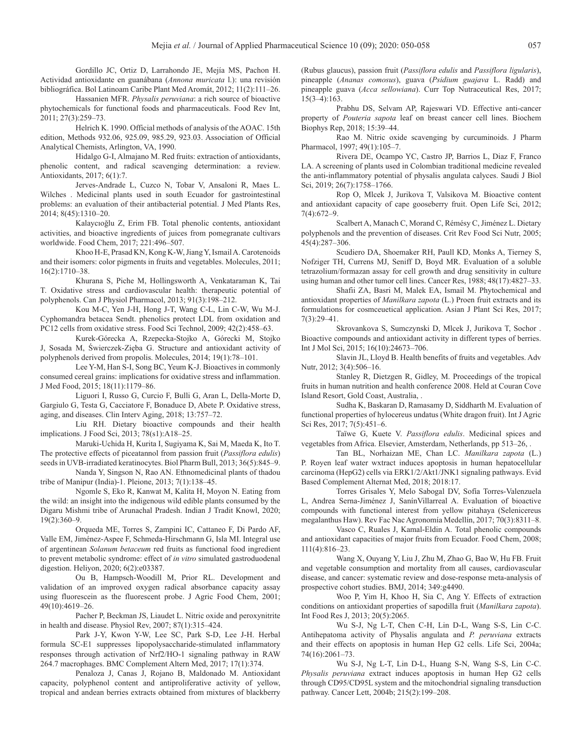<span id="page-7-0"></span>Gordillo JC, Ortiz D, Larrahondo JE, Mejía MS, Pachon H. Actividad antioxidante en guanábana (*Annona muricata* l.): una revisión bibliográfica. Bol Latinoam Caribe Plant Med Aromát, 2012; 11(2):111–26.

Hassanien MFR. *Physalis peruviana*: a rich source of bioactive phytochemicals for functional foods and pharmaceuticals. Food Rev Int, 2011; 27(3):259–73.

Helrich K. 1990. Official methods of analysis of the AOAC. 15th edition, Methods 932.06, 925.09, 985.29, 923.03. Association of Official Analytical Chemists, Arlington, VA, 1990.

Hidalgo G-I, Almajano M. Red fruits: extraction of antioxidants, phenolic content, and radical scavenging determination: a review. Antioxidants, 2017; 6(1):7.

Jerves-Andrade L, Cuzco N, Tobar V, Ansaloni R, Maes L. Wilches . Medicinal plants used in south Ecuador for gastrointestinal problems: an evaluation of their antibacterial potential. J Med Plants Res, 2014; 8(45):1310–20.

Kalaycıoğlu Z, Erim FB. Total phenolic contents, antioxidant activities, and bioactive ingredients of juices from pomegranate cultivars worldwide. Food Chem, 2017; 221:496–507.

Khoo H-E, Prasad KN, Kong K-W, Jiang Y, Ismail A. Carotenoids and their isomers: color pigments in fruits and vegetables. Molecules, 2011; 16(2):1710–38.

Khurana S, Piche M, Hollingsworth A, Venkataraman K, Tai T. Oxidative stress and cardiovascular health: therapeutic potential of polyphenols. Can J Physiol Pharmacol, 2013; 91(3):198–212.

Kou M-C, Yen J-H, Hong J-T, Wang C-L, Lin C-W, Wu M-J. Cyphomandra betacea Sendt. phenolics protect LDL from oxidation and PC12 cells from oxidative stress. Food Sci Technol, 2009; 42(2):458–63.

Kurek-Górecka A, Rzepecka-Stojko A, Górecki M, Stojko J, Sosada M, Świerczek-Zięba G. Structure and antioxidant activity of polyphenols derived from propolis. Molecules, 2014; 19(1):78–101.

Lee Y-M, Han S-I, Song BC, Yeum K-J. Bioactives in commonly consumed cereal grains: implications for oxidative stress and inflammation. J Med Food, 2015; 18(11):1179–86.

Liguori I, Russo G, Curcio F, Bulli G, Aran L, Della-Morte D, Gargiulo G, Testa G, Cacciatore F, Bonaduce D, Abete P. Oxidative stress, aging, and diseases. Clin Interv Aging, 2018; 13:757–72.

Liu RH. Dietary bioactive compounds and their health implications. J Food Sci, 2013; 78(s1):A18–25.

Maruki-Uchida H, Kurita I, Sugiyama K, Sai M, Maeda K, Ito T. The protective effects of piceatannol from passion fruit (*Passiflora edulis*) seeds in UVB-irradiated keratinocytes. Biol Pharm Bull, 2013; 36(5):845–9.

Nanda Y, Singson N, Rao AN. Ethnomedicinal plants of thadou tribe of Manipur (India)-1. Pleione, 2013; 7(1):138–45.

Ngomle S, Eko R, Kanwat M, Kalita H, Moyon N. Eating from the wild: an insight into the indigenous wild edible plants consumed by the Digaru Mishmi tribe of Arunachal Pradesh. Indian J Tradit Knowl, 2020; 19(2):360–9.

Orqueda ME, Torres S, Zampini IC, Cattaneo F, Di Pardo AF, Valle EM, Jiménez-Aspee F, Schmeda-Hirschmann G, Isla MI. Integral use of argentinean *Solanum betaceum* red fruits as functional food ingredient to prevent metabolic syndrome: effect of *in vitro* simulated gastroduodenal digestion. Heliyon, 2020; 6(2):e03387.

Ou B, Hampsch-Woodill M, Prior RL. Development and validation of an improved oxygen radical absorbance capacity assay using fluorescein as the fluorescent probe. J Agric Food Chem, 2001; 49(10):4619–26.

Pacher P, Beckman JS, Liaudet L. Nitric oxide and peroxynitrite in health and disease. Physiol Rev, 2007; 87(1):315–424.

Park J-Y, Kwon Y-W, Lee SC, Park S-D, Lee J-H. Herbal formula SC-E1 suppresses lipopolysaccharide-stimulated inflammatory responses through activation of Nrf2/HO-1 signaling pathway in RAW 264.7 macrophages. BMC Complement Altern Med, 2017; 17(1):374.

Penaloza J, Canas J, Rojano B, Maldonado M. Antioxidant capacity, polyphenol content and antiproliferative activity of yellow, tropical and andean berries extracts obtained from mixtures of blackberry

(Rubus glaucus), passion fruit (*Passiflora edulis* and *Passiflora ligularis*), pineapple (*Ananas comosus*), guava (*Psidium guajava* L. Radd) and pineapple guava (*Acca sellowiana*). Curr Top Nutraceutical Res, 2017; 15(3–4):163.

Prabhu DS, Selvam AP, Rajeswari VD. Effective anti-cancer property of *Pouteria sapota* leaf on breast cancer cell lines. Biochem Biophys Rep, 2018; 15:39–44.

Rao M. Nitric oxide scavenging by curcuminoids. J Pharm Pharmacol, 1997; 49(1):105–7.

Rivera DE, Ocampo YC, Castro JP, Barrios L, Diaz F, Franco LA. A screening of plants used in Colombian traditional medicine revealed the anti-inflammatory potential of physalis angulata calyces. Saudi J Biol Sci, 2019; 26(7):1758–1766.

Rop O, Mlcek J, Jurikova T, Valsikova M. Bioactive content and antioxidant capacity of cape gooseberry fruit. Open Life Sci, 2012; 7(4):672–9.

Scalbert A, Manach C, Morand C, Rémésy C, Jiménez L. Dietary polyphenols and the prevention of diseases. Crit Rev Food Sci Nutr, 2005; 45(4):287–306.

Scudiero DA, Shoemaker RH, Paull KD, Monks A, Tierney S, Nofziger TH, Currens MJ, Seniff D, Boyd MR. Evaluation of a soluble tetrazolium/formazan assay for cell growth and drug sensitivity in culture using human and other tumor cell lines. Cancer Res, 1988; 48(17):4827–33.

Shafii ZA, Basri M, Malek EA, Ismail M. Phytochemical and antioxidant properties of *Manilkara zapota* (L.) Proen fruit extracts and its formulations for cosmceuetical application. Asian J Plant Sci Res, 2017; 7(3):29–41.

Skrovankova S, Sumczynski D, Mlcek J, Jurikova T, Sochor . Bioactive compounds and antioxidant activity in different types of berries. Int J Mol Sci, 2015; 16(10):24673–706.

Slavin JL, Lloyd B. Health benefits of fruits and vegetables. Adv Nutr, 2012; 3(4):506-16.

Stanley R, Dietzgen R, Gidley, M. Proceedings of the tropical fruits in human nutrition and health conference 2008. Held at Couran Cove Island Resort, Gold Coast, Australia, .

Sudha K, Baskaran D, Ramasamy D, Siddharth M. Evaluation of functional properties of hylocereus undatus (White dragon fruit). Int J Agric Sci Res, 2017; 7(5):451–6.

Taïwe G, Kuete V. *Passiflora edulis*. Medicinal spices and vegetables from Africa. Elsevier, Amsterdam, Netherlands, pp 513–26, .

Tan BL, Norhaizan ME, Chan LC. *Manilkara zapota* (L.) P. Royen leaf water wxtract induces apoptosis in human hepatocellular carcinoma (HepG2) cells via ERK1/2/Akt1/JNK1 signaling pathways. Evid Based Complement Alternat Med, 2018; 2018:17.

Torres Grisales Y, Melo Sabogal DV, Sofía Torres-Valenzuela L, Andrea Serna-Jiménez J, SanínVillarreal A. Evaluation of bioactive compounds with functional interest from yellow pitahaya (Selenicereus megalanthus Haw). Rev Fac Nac Agronomía Medellín, 2017; 70(3):8311–8.

Vasco C, Ruales J, Kamal-Eldin A. Total phenolic compounds and antioxidant capacities of major fruits from Ecuador. Food Chem, 2008; 111(4):816–23.

Wang X, Ouyang Y, Liu J, Zhu M, Zhao G, Bao W, Hu FB. Fruit and vegetable consumption and mortality from all causes, cardiovascular disease, and cancer: systematic review and dose-response meta-analysis of prospective cohort studies. BMJ, 2014; 349:g4490.

Woo P, Yim H, Khoo H, Sia C, Ang Y. Effects of extraction conditions on antioxidant properties of sapodilla fruit (*Manilkara zapota*). Int Food Res J, 2013; 20(5):2065.

Wu S-J, Ng L-T, Chen C-H, Lin D-L, Wang S-S, Lin C-C. Antihepatoma activity of Physalis angulata and *P. peruviana* extracts and their effects on apoptosis in human Hep G2 cells. Life Sci, 2004a; 74(16):2061–73.

Wu S-J, Ng L-T, Lin D-L, Huang S-N, Wang S-S, Lin C-C. *Physalis peruviana* extract induces apoptosis in human Hep G2 cells through CD95/CD95L system and the mitochondrial signaling transduction pathway. Cancer Lett, 2004b; 215(2):199–208.